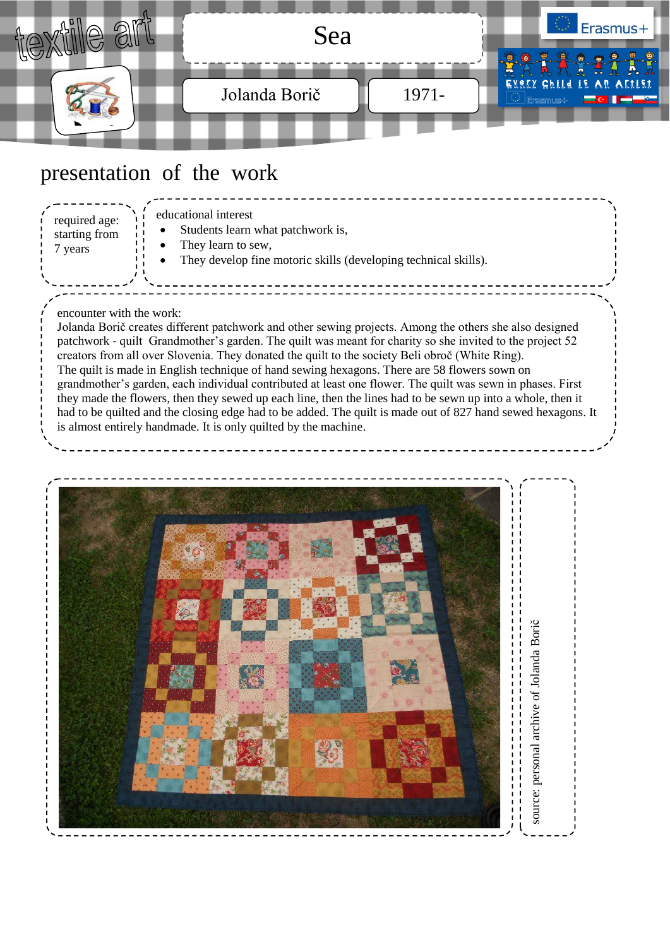

### presentation of the work

encounter with the work: Jolanda Borič creates different patchwork and other sewing projects. Among the others she also designed patchwork - quilt Grandmother's garden. The quilt was meant for charity so she invited to the project 52 creators from all over Slovenia. They donated the quilt to the society Beli obroč (White Ring). The quilt is made in English technique of hand sewing hexagons. There are 58 flowers sown on grandmother's garden, each individual contributed at least one flower. The quilt was sewn in phases. First they made the flowers, then they sewed up each line, then the lines had to be sewn up into a whole, then it had to be quilted and the closing edge had to be added. The quilt is made out of 827 hand sewed hexagons. It is almost entirely handmade. It is only quilted by the machine. educational interest Students learn what patchwork is, They learn to sew, They develop fine motoric skills (developing technical skills). required age: starting from 7 years

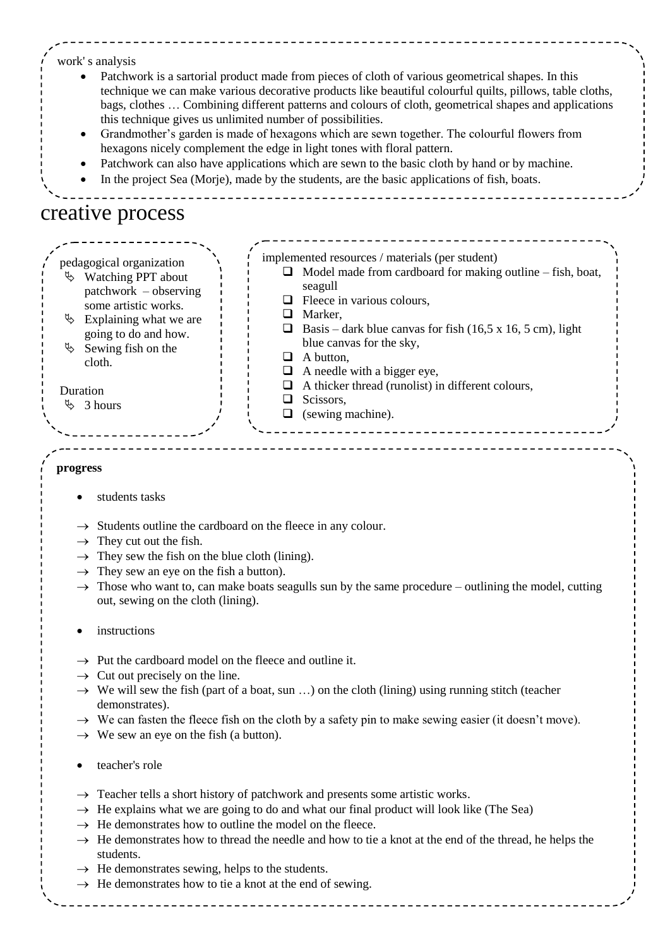#### work' s analysis

- Patchwork is a sartorial product made from pieces of cloth of various geometrical shapes. In this technique we can make various decorative products like beautiful colourful quilts, pillows, table cloths, bags, clothes … Combining different patterns and colours of cloth, geometrical shapes and applications this technique gives us unlimited number of possibilities.
- Grandmother's garden is made of hexagons which are sewn together. The colourful flowers from hexagons nicely complement the edge in light tones with floral pattern.
- Patchwork can also have applications which are sewn to the basic cloth by hand or by machine.
- In the project Sea (Morje), made by the students, are the basic applications of fish, boats.

### creative process



#### **progress**

- students tasks
- $\rightarrow$  Students outline the cardboard on the fleece in any colour.
- $\rightarrow$  They cut out the fish.
- $\rightarrow$  They sew the fish on the blue cloth (lining).
- $\rightarrow$  They sew an eye on the fish a button).
- $\rightarrow$  Those who want to, can make boats seagulls sun by the same procedure outlining the model, cutting out, sewing on the cloth (lining).
- instructions
- $\rightarrow$  Put the cardboard model on the fleece and outline it.
- $\rightarrow$  Cut out precisely on the line.
- $\rightarrow$  We will sew the fish (part of a boat, sun ...) on the cloth (lining) using running stitch (teacher demonstrates).
- $\rightarrow$  We can fasten the fleece fish on the cloth by a safety pin to make sewing easier (it doesn't move).
- $\rightarrow$  We sew an eye on the fish (a button).
- teacher's role
- $\rightarrow$  Teacher tells a short history of patchwork and presents some artistic works.
- $\rightarrow$  He explains what we are going to do and what our final product will look like (The Sea)
- $\rightarrow$  He demonstrates how to outline the model on the fleece.
- $\rightarrow$  He demonstrates how to thread the needle and how to tie a knot at the end of the thread, he helps the students.
- $\rightarrow$  He demonstrates sewing, helps to the students.
- $\rightarrow$  He demonstrates how to tie a knot at the end of sewing.